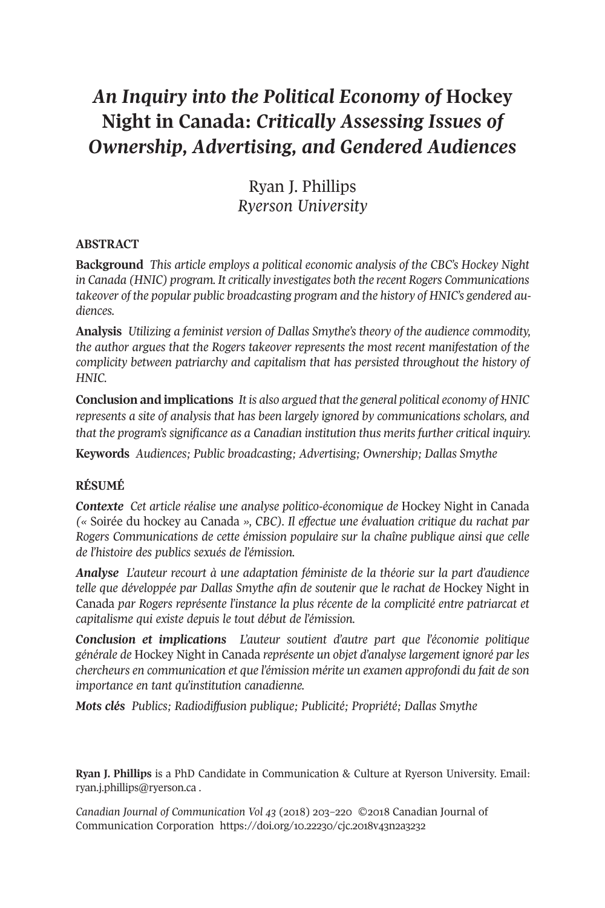# *An Inquiry into the Political Economy of* **Hockey Night in Canada:** *Critically Assessing Issues of Ownership, Advertising, and Gendered Audiences*

Ryan J. Phillips *Ryerson University*

## **ABSTRACT**

**Background** *This article employs a political economic analysis of the CBC's Hockey Night in Canada (HNIC) program. It critically investigates both the recent Rogers Communications takeover of the popular public broadcasting program and the history of HNIC's gendered audiences.*

**Analysis** *Utilizing a feminist version of Dallas Smythe's theory of the audience commodity, the author argues that the Rogers takeover represents the most recent manifestation of the complicity between patriarchy and capitalism that has persisted throughout the history of HNIC.*

**Conclusion and implications** *It is also argued that the general political economy of HNIC represents a site of analysis that has been largely ignored by communications scholars, and that the program's significance as a Canadian institution thus merits further critical inquiry.*

**Keywords** *Audiences; Public broadcasting; Advertising; Ownership; Dallas Smythe*

## **RÉSUMÉ**

*Contexte Cet article réalise une analyse politico-économique de* Hockey Night in Canada *(«* Soirée du hockey au Canada *», CBC). Il effectue une évaluation critique du rachat par Rogers Communications de cette émission populaire sur la chaîne publique ainsi que celle de l'histoire des publics sexués de l'émission.*

*Analyse L'auteur recourt à une adaptation féministe de la théorie sur la part d'audience telle que développée par Dallas Smythe afin de soutenir que le rachat de* Hockey Night in Canada *par Rogers représente l'instance la plus récente de la complicité entre patriarcat et capitalisme qui existe depuis le tout début de l'émission.*

*Conclusion et implications L'auteur soutient d'autre part que l'économie politique générale de* Hockey Night in Canada *représente un objet d'analyse largement ignoré par les chercheurs en communication et que l'émission mérite un examen approfondi du fait de son importance en tant qu'institution canadienne.*

*Mots clés Publics; Radiodiffusion publique; Publicité; Propriété; Dallas Smythe*

**Ryan J. Phillips** is a PhD Candidate in Communication & Culture at Ryerson University. Email: [ryan.j.phillips@ryerson.ca](mailto:ryan.j.phillips@ryerson.ca) .

*Canadian Journal of [Communication](http://www.cjc-online.ca) Vol 43* (2018) 203–220 ©2018 Canadian Journal of Communication Corporation <https://doi.org/10.22230/cjc.2018v43n2a3232>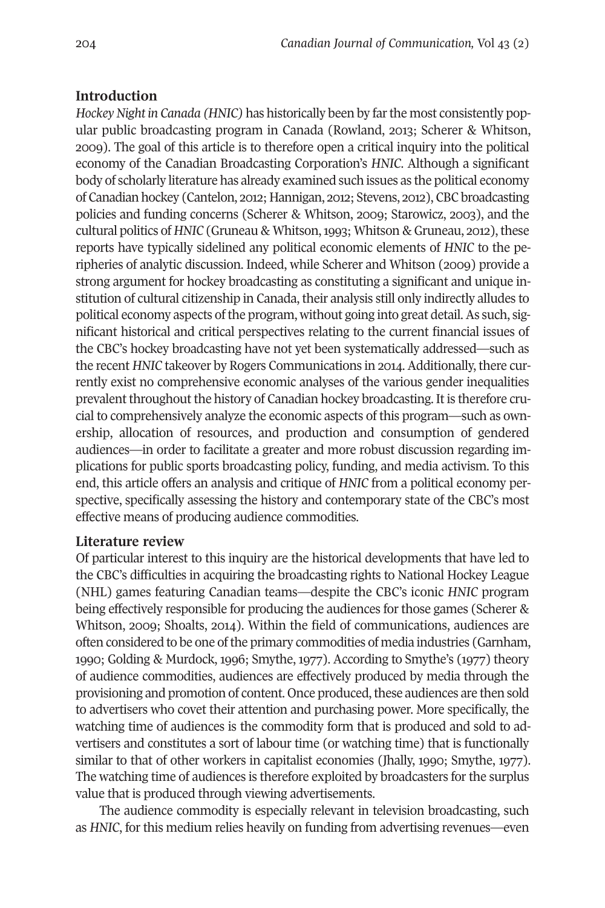## **Introduction**

*Hockey Night in <i>Canada (HNIC)* has historically been by far the most consistently popular public broadcasting program in Canada (Rowland, 2013; Scherer & Whitson, 2009). The goal of this article is to therefore open a critical inquiry into the political economy of the Canadian Broadcasting Corporation's *HNIC*. Although a significant body of scholarly literature has already examined such issues as the political economy of Canadian hockey (Cantelon, 2012; Hannigan, 2012; Stevens, 2012), CBC broadcasting policies and funding concerns (Scherer & Whitson, 2009; Starowicz, 2003), and the cultural politics of *HNIC* (Gruneau & Whitson, 1993; Whitson & Gruneau, 2012), these reports have typically sidelined any political economic elements of *HNIC* to the peripheries of analytic discussion. Indeed, while Scherer and Whitson (2009) provide a strong argument for hockey broadcasting as constituting a significant and unique institution of cultural citizenship in Canada, their analysis still only indirectly alludes to political economy aspects of the program, without going into great detail. As such, significant historical and critical perspectives relating to the current financial issues of the CBC's hockey broadcasting have not yet been systematically addressed—such as the recent *HNIC* takeover by Rogers Communications in 2014. Additionally, there currently exist no comprehensive economic analyses of the various gender inequalities prevalent throughout the history of Canadian hockey broadcasting. It is therefore crucial to comprehensively analyze the economic aspects of this program—such as ownership, allocation of resources, and production and consumption of gendered audiences—in order to facilitate a greater and more robust discussion regarding implications for public sports broadcasting policy, funding, and media activism. To this end, this article offers an analysis and critique of *HNIC* from a political economy perspective, specifically assessing the history and contemporary state of the CBC's most effective means of producing audience commodities.

# **Literature review**

Of particular interest to this inquiry are the historical developments that have led to the CBC's difficulties in acquiring the broadcasting rights to National Hockey League (NHL) games featuring Canadian teams—despite the CBC's iconic *HNIC* program being effectively responsible for producing the audiences for those games (Scherer & Whitson, 2009; Shoalts, 2014). Within the field of communications, audiences are often considered to be one ofthe primary commodities of media industries (Garnham, 1990; Golding & Murdock, 1996; Smythe, 1977). According to Smythe's (1977) theory of audience commodities, audiences are effectively produced by media through the provisioning and promotion of content. Once produced, these audiences are then sold to advertisers who covet their attention and purchasing power. More specifically, the watching time of audiences is the commodity form that is produced and sold to advertisers and constitutes a sort of labour time (or watching time) that is functionally similar to that of other workers in capitalist economies (Jhally, 1990; Smythe, 1977). The watching time of audiences is therefore exploited by broadcasters for the surplus value that is produced through viewing advertisements.

The audience commodity is especially relevant in television broadcasting, such as *HNIC*, for this medium relies heavily on funding from advertising revenues—even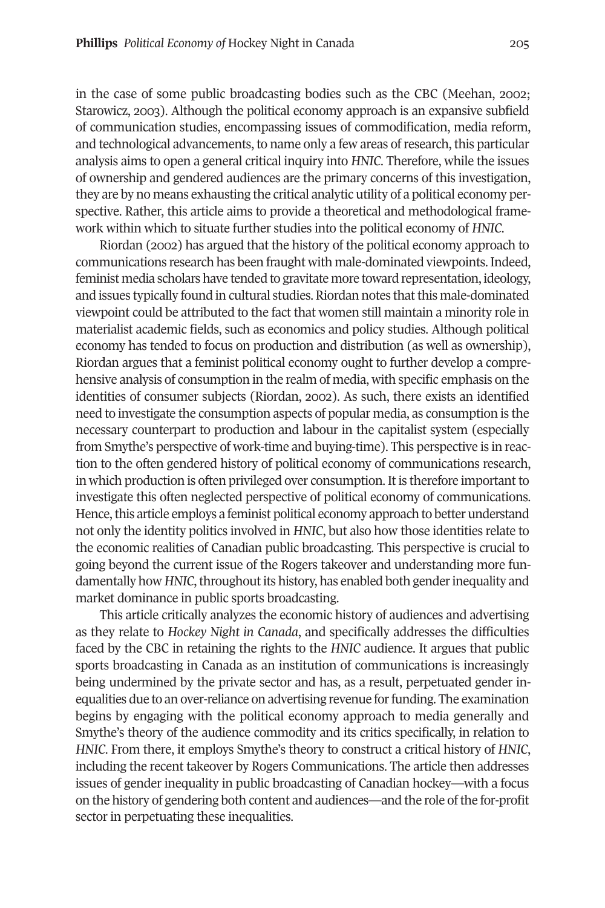in the case of some public broadcasting bodies such as the CBC (Meehan, 2002; Starowicz, 2003). Although the political economy approach is an expansive subfield of communication studies, encompassing issues of commodification, media reform, and technological advancements, to name only a few areas ofresearch, this particular analysis aims to open a general critical inquiry into *HNIC*. Therefore, while the issues of ownership and gendered audiences are the primary concerns of this investigation, they are by no means exhausting the critical analytic utility of a political economy perspective. Rather, this article aims to provide a theoretical and methodological framework within which to situate further studies into the political economy of *HNIC*.

Riordan (2002) has argued that the history of the political economy approach to communications research has been fraught with male-dominated viewpoints. Indeed, feminist media scholars have tended to gravitate more toward representation, ideology, and issues typically found in cultural studies. Riordan notes that this male-dominated viewpoint could be attributed to the fact that women still maintain a minority role in materialist academic fields, such as economics and policy studies. Although political economy has tended to focus on production and distribution (as well as ownership), Riordan argues that a feminist political economy ought to further develop a comprehensive analysis of consumption in the realm of media, with specific emphasis on the identities of consumer subjects (Riordan, 2002). As such, there exists an identified need to investigate the consumption aspects of popular media, as consumption is the necessary counterpart to production and labour in the capitalist system (especially from Smythe's perspective of work-time and buying-time). This perspective is in reaction to the often gendered history of political economy of communications research, in which production is often privileged over consumption. It is therefore important to investigate this often neglected perspective of political economy of communications. Hence, this article employs a feminist political economy approach to better understand not only the identity politics involved in *HNIC*, but also how those identities relate to the economic realities of Canadian public broadcasting. This perspective is crucial to going beyond the current issue of the Rogers takeover and understanding more fundamentally how *HNIC*, throughout its history, has enabled both gender inequality and market dominance in public sports broadcasting.

This article critically analyzes the economic history of audiences and advertising as they relate to *Hockey Night in Canada*, and specifically addresses the difficulties faced by the CBC in retaining the rights to the *HNIC* audience. It argues that public sports broadcasting in Canada as an institution of communications is increasingly being undermined by the private sector and has, as a result, perpetuated gender inequalities due to an over-reliance on advertising revenue forfunding. The examination begins by engaging with the political economy approach to media generally and Smythe's theory of the audience commodity and its critics specifically, in relation to *HNIC*. From there, it employs Smythe's theory to construct a critical history of *HNIC*, including the recent takeover by Rogers Communications. The article then addresses issues of gender inequality in public broadcasting of Canadian hockey—with a focus on the history of gendering both content and audiences—and the role ofthe for-profit sector in perpetuating these inequalities.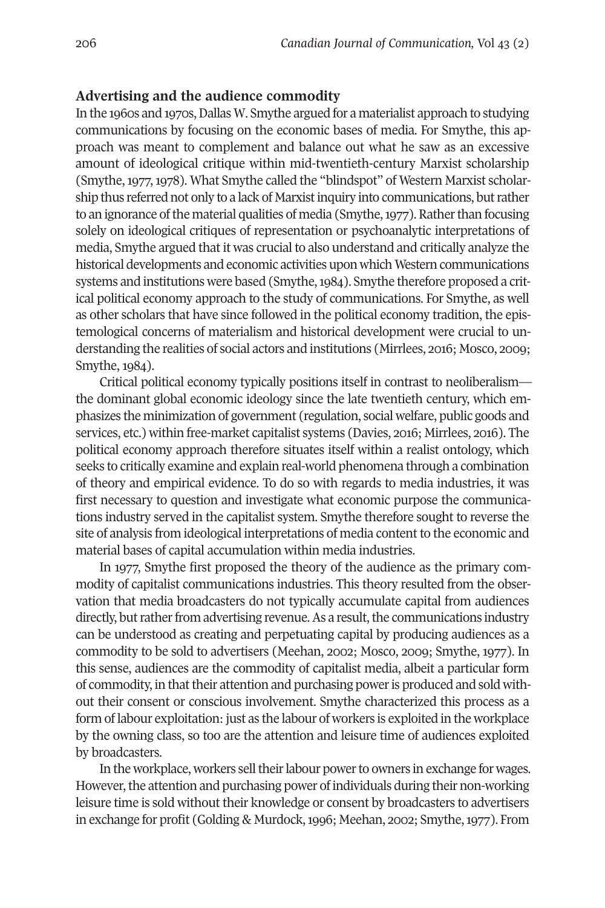#### **Advertising and the audience commodity**

In the 1960s and 1970s, Dallas W. Smythe argued for a materialist approach to studying communications by focusing on the economic bases of media. For Smythe, this approach was meant to complement and balance out what he saw as an excessive amount of ideological critique within mid-twentieth-century Marxist scholarship (Smythe,1977,1978). What Smythe called the "blindspot" of Western Marxist scholarship thus referred not only to a lack of Marxistinquiry into communications, butrather to an ignorance of the material qualities of media (Smythe, 1977). Rather than focusing solely on ideological critiques of representation or psychoanalytic interpretations of media, Smythe argued that it was crucial to also understand and critically analyze the historical developments and economic activities upon which Western communications systems and institutions were based (Smythe, 1984). Smythe therefore proposed a critical political economy approach to the study of communications. For Smythe, as well as other scholars that have since followed in the political economy tradition, the epistemological concerns of materialism and historical development were crucial to understanding the realities of social actors and institutions (Mirrlees, 2016; Mosco, 2009; Smythe, 1984).

Critical political economy typically positions itself in contrast to neoliberalism the dominant global economic ideology since the late twentieth century, which emphasizes the minimization of government (regulation, social welfare, public goods and services, etc.) within free-market capitalist systems (Davies, 2016; Mirrlees, 2016). The political economy approach therefore situates itself within a realist ontology, which seeks to critically examine and explain real-world phenomena through a combination of theory and empirical evidence. To do so with regards to media industries, it was first necessary to question and investigate what economic purpose the communications industry served in the capitalist system. Smythe therefore sought to reverse the site of analysis from ideological interpretations of media content to the economic and material bases of capital accumulation within media industries.

In 1977, Smythe first proposed the theory of the audience as the primary commodity of capitalist communications industries. This theory resulted from the observation that media broadcasters do not typically accumulate capital from audiences directly, but rather from advertising revenue. As a result, the communications industry can be understood as creating and perpetuating capital by producing audiences as a commodity to be sold to advertisers (Meehan, 2002; Mosco, 2009; Smythe, 1977). In this sense, audiences are the commodity of capitalist media, albeit a particular form of commodity, in that their attention and purchasing power is produced and sold without their consent or conscious involvement. Smythe characterized this process as a form of labour exploitation: just as the labour of workers is exploited in the workplace by the owning class, so too are the attention and leisure time of audiences exploited by broadcasters.

In the workplace, workers sell their labour power to owners in exchange for wages. However, the attention and purchasing power of individuals during their non-working leisure time is sold without their knowledge or consent by broadcasters to advertisers in exchange for profit (Golding & Murdock,1996; Meehan, 2002; Smythe,1977). From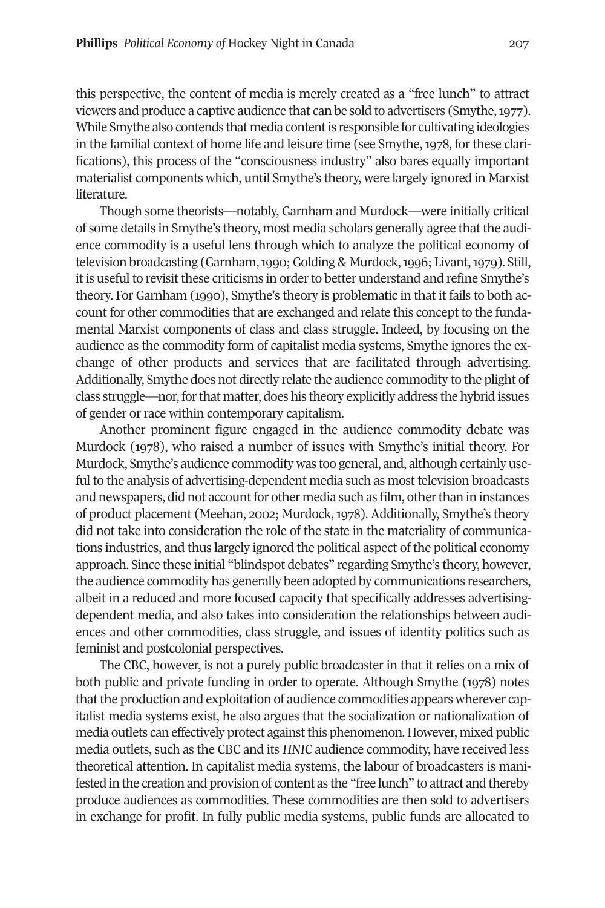this perspective, the content of media is merely created as a "free lunch" to attract viewers and produce a captive audience that can be sold to advertisers (Smythe,1977). While Smythe also contends that media contentis responsible for cultivating ideologies in the familial context of home life and leisure time (see Smythe, 1978, for these clarifications), this process of the "consciousness industry" also bares equally important materialist components which, until Smythe's theory, were largely ignored in Marxist literature.

Though some theorists—notably, Garnham and Murdock—were initially critical of some details in Smythe's theory, most media scholars generally agree that the audience commodity is a useful lens through which to analyze the political economy of television broadcasting (Garnham, 1990; Golding & Murdock, 1996; Livant, 1979). Still, it is useful to revisit these criticisms in orderto better understand and refine Smythe's theory. For Garnham (1990), Smythe's theory is problematic in that it fails to both account for other commodities that are exchanged and relate this concept to the fundamental Marxist components of class and class struggle. Indeed, by focusing on the audience as the commodity form of capitalist media systems, Smythe ignores the exchange of other products and services that are facilitated through advertising. Additionally, Smythe does not directly relate the audience commodity to the plight of class struggle—nor, forthat matter, does his theory explicitly address the hybrid issues of gender or race within contemporary capitalism.

Another prominent figure engaged in the audience commodity debate was Murdock (1978), who raised a number of issues with Smythe's initial theory. For Murdock, Smythe's audience commodity was too general, and, although certainly useful to the analysis of advertising-dependent media such as most television broadcasts and newspapers, did not account for other media such as film, other than in instances of product placement (Meehan, 2002; Murdock, 1978). Additionally, Smythe's theory did not take into consideration the role of the state in the materiality of communications industries, and thus largely ignored the political aspect of the political economy approach. Since these initial "blindspot debates" regarding Smythe's theory, however, the audience commodity has generally been adopted by communications researchers, albeit in a reduced and more focused capacity that specifically addresses advertisingdependent media, and also takes into consideration the relationships between audiences and other commodities, class struggle, and issues of identity politics such as feminist and postcolonial perspectives.

The CBC, however, is not a purely public broadcaster in that it relies on a mix of both public and private funding in order to operate. Although Smythe (1978) notes thatthe production and exploitation of audience commodities appears wherever capitalist media systems exist, he also argues that the socialization or nationalization of media outlets can effectively protect against this phenomenon. However, mixed public media outlets, such as the CBC and its *HNIC* audience commodity, have received less theoretical attention. In capitalist media systems, the labour of broadcasters is manifested in the creation and provision of content as the "free lunch" to attract and thereby produce audiences as commodities. These commodities are then sold to advertisers in exchange for profit. In fully public media systems, public funds are allocated to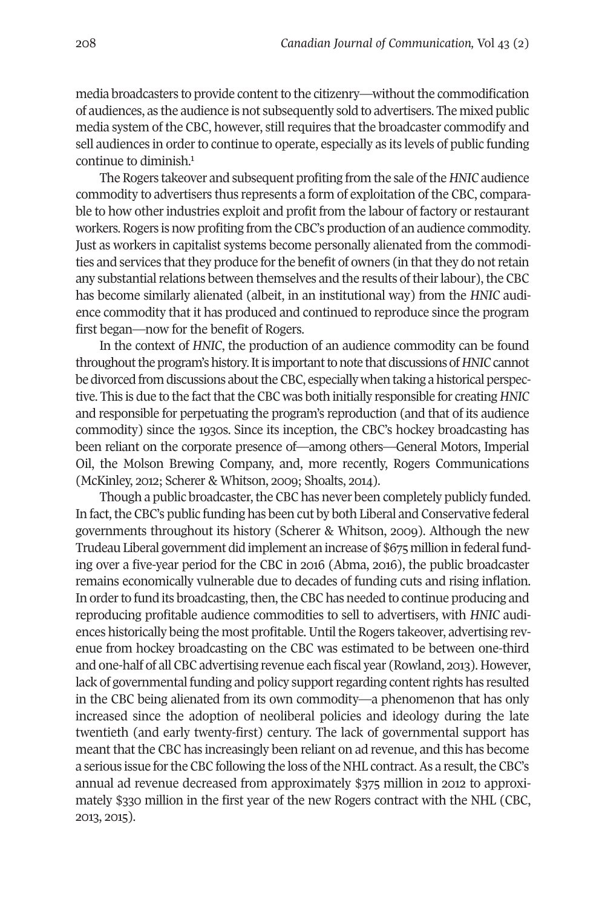media broadcasters to provide content to the citizenry—without the commodification of audiences, as the audience is not subsequently sold to advertisers. The mixed public media system of the CBC, however, still requires that the broadcaster commodify and sell audiences in ord[er](#page-15-0) to continue to operate, especially as its levels of public funding continue to diminish. 1

The Rogers takeover and subsequent profiting from the sale of the *HNIC* audience commodity to advertisers thus represents a form of exploitation of the CBC, comparable to how other industries exploit and profit from the labour of factory or restaurant workers.Rogers is now profiting from the CBC's production of an audience commodity. Just as workers in capitalist systems become personally alienated from the commodities and services that they produce for the benefit of owners (in that they do not retain any substantial relations between themselves and the results of their labour), the CBC has become similarly alienated (albeit, in an institutional way) from the *HNIC* audience commodity that it has produced and continued to reproduce since the program first began—now for the benefit of Rogers.

In the context of *HNIC*, the production of an audience commodity can be found throughouttheprogram'shistory.Itis importanttonote thatdiscussions of*HNIC*cannot be divorced fromdiscussions abouttheCBC, especiallywhentaking ahistorical perspective. This is due to the fact that the CBC was both initially responsible for creating *HNIC* and responsible for perpetuating the program's reproduction (and that of its audience commodity) since the 1930s. Since its inception, the CBC's hockey broadcasting has been reliant on the corporate presence of—among others—General Motors, Imperial Oil, the Molson Brewing Company, and, more recently, Rogers Communications (McKinley, 2012; Scherer & Whitson, 2009; Shoalts, 2014).

Though a public broadcaster, the CBC has never been completely publicly funded. In fact, the CBC's public funding has been cut by both Liberal and Conservative federal governments throughout its history (Scherer & Whitson, 2009). Although the new Trudeau Liberal government did implement an increase of \$675 million in federalfunding over a five-year period for the CBC in 2016 (Abma, 2016), the public broadcaster remains economically vulnerable due to decades of funding cuts and rising inflation. In order to fund its broadcasting, then, the CBC has needed to continue producing and reproducing profitable audience commodities to sell to advertisers, with *HNIC* audiences historically being the most profitable. Until the Rogers takeover, advertising revenue from hockey broadcasting on the CBC was estimated to be between one-third and one-half of all CBC advertising revenue each fiscal year (Rowland, 2013). However, lack of governmental funding and policy support regarding content rights has resulted in the CBC being alienated from its own commodity—a phenomenon that has only increased since the adoption of neoliberal policies and ideology during the late twentieth (and early twenty-first) century. The lack of governmental support has meant that the CBC has increasingly been reliant on ad revenue, and this has become a serious issue forthe CBC following the loss ofthe NHL contract.As a result,the CBC's annual ad revenue decreased from approximately \$375 million in 2012 to approximately \$330 million in the first year of the new Rogers contract with the NHL (CBC, 2013, 2015).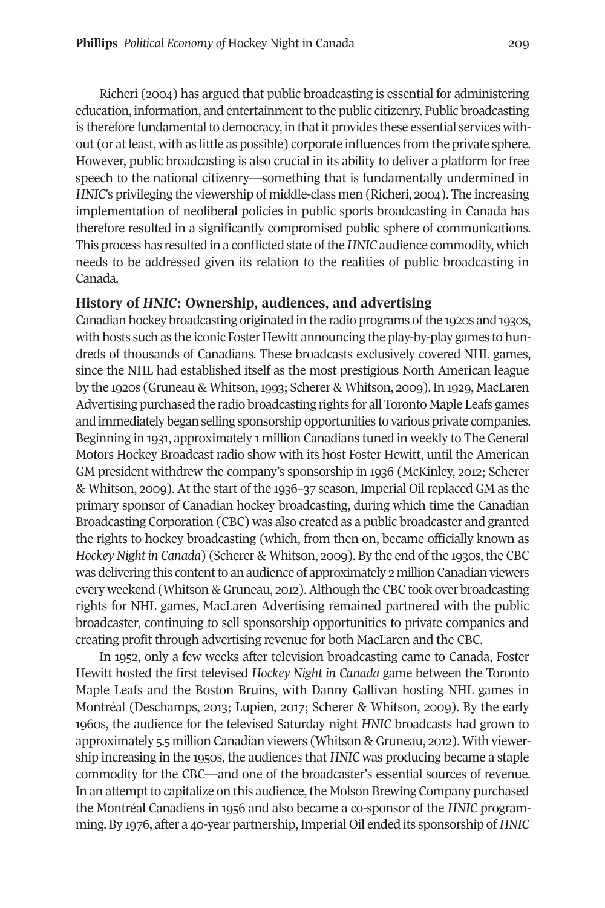Richeri (2004) has argued that public broadcasting is essential for administering education, information, and entertainment to the public citizenry. Public broadcasting is therefore fundamental to democracy, in that it provides these essential services without (or atleast, with as little as possible) corporate influences from the private sphere. However, public broadcasting is also crucial in its ability to deliver a platform for free speech to the national citizenry—something that is fundamentally undermined in *HNIC*'s privileging the viewership of middle-class men (Richeri, 2004). The increasing implementation of neoliberal policies in public sports broadcasting in Canada has therefore resulted in a significantly compromised public sphere of communications. This process has resulted in a conflicted state ofthe *HNIC* audience commodity, which needs to be addressed given its relation to the realities of public broadcasting in Canada.

#### **History of** *HNIC***: Ownership, audiences, and advertising**

Canadian hockey broadcasting originated in the radio programs ofthe 1920s and 1930s, with hosts such as the iconic Foster Hewitt announcing the play-by-play games to hundreds of thousands of Canadians. These broadcasts exclusively covered NHL games, since the NHL had established itself as the most prestigious North American league by the 1920s (Gruneau & Whitson, 1993; Scherer & Whitson, 2009). In 1929, MacLaren Advertising purchased the radio broadcasting rights for all Toronto Maple Leafs games and immediately began selling sponsorship opportunities to various private companies. Beginning in 1931, approximately 1 million Canadians tuned in weekly to The General Motors Hockey Broadcast radio show with its host Foster Hewitt, until the American GM president withdrew the company's sponsorship in 1936 (McKinley, 2012; Scherer & Whitson, 2009). At the start of the 1936–37 season, Imperial Oilreplaced GM as the primary sponsor of Canadian hockey broadcasting, during which time the Canadian Broadcasting Corporation (CBC) was also created as a public broadcaster and granted the rights to hockey broadcasting (which, from then on, became officially known as *Hockey Night in Canada*) (Scherer & Whitson, 2009). By the end of the 1930s, the CBC was delivering this contentto an audience of approximately 2 million Canadian viewers every weekend (Whitson & Gruneau, 2012).Although the CBC took over broadcasting rights for NHL games, MacLaren Advertising remained partnered with the public broadcaster, continuing to sell sponsorship opportunities to private companies and creating profit through advertising revenue for both MacLaren and the CBC.

In 1952, only a few weeks after television broadcasting came to Canada, Foster Hewitt hosted the first televised *Hockey Night in Canada* game between the Toronto Maple Leafs and the Boston Bruins, with Danny Gallivan hosting NHL games in Montréal (Deschamps, 2013; Lupien, 2017; Scherer & Whitson, 2009). By the early 1960s, the audience for the televised Saturday night *HNIC* broadcasts had grown to approximately 5.5 million Canadian viewers (Whitson & Gruneau, 2012). With viewership increasing in the 1950s, the audiences that *HNIC* was producing became a staple commodity for the CBC—and one of the broadcaster's essential sources of revenue. In an attempt to capitalize on this audience, the Molson Brewing Company purchased the Montréal Canadiens in 1956 and also became a co-sponsor of the *HNIC* programming. By 1976, after a 40-year partnership,Imperial Oil ended its sponsorship of *HNIC*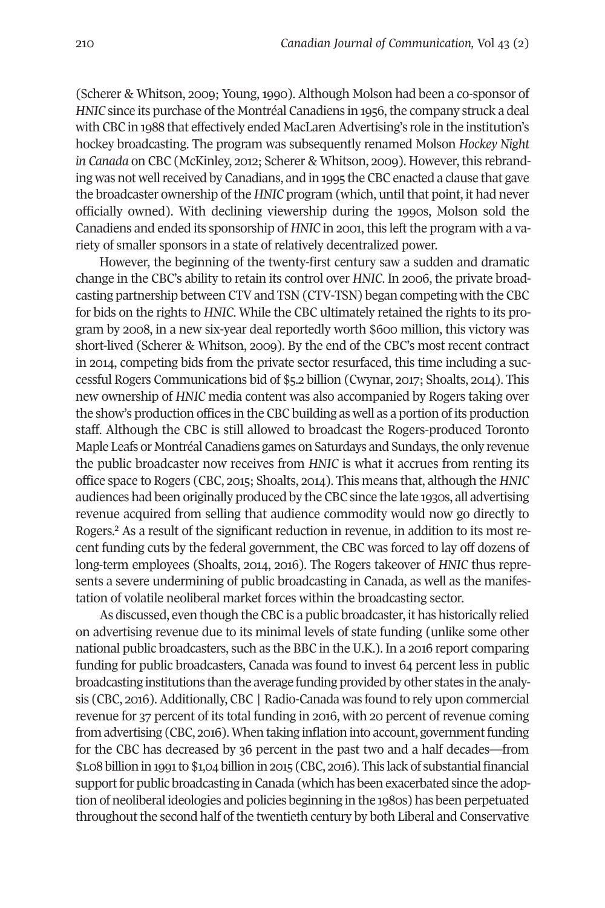(Scherer & Whitson, 2009; Young, 1990). Although Molson had been a co-sponsor of *HNIC* since its purchase of the Montréal Canadiens in 1956, the company struck a deal with CBC in 1988 that effectively ended MacLaren Advertising's role in the institution's hockey broadcasting. The program was subsequently renamed Molson *Hockey Night in Canada* on CBC (McKinley, 2012; Scherer & Whitson, 2009). However, this rebranding was not wellreceived by Canadians, and in 1995 the CBC enacted a clause that gave the broadcaster ownership of the *HNIC* program (which, until that point, it had never officially owned). With declining viewership during the 1990s, Molson sold the Canadiens and ended its sponsorship of *HNIC* in 2001, this left the program with a variety of smaller sponsors in a state of relatively decentralized power.

However, the beginning of the twenty-first century saw a sudden and dramatic change in the CBC's ability to retain its control over *HNIC*. In 2006, the private broadcasting partnership between CTV and TSN (CTV-TSN) began competing with the CBC for bids on the rights to *HNIC*. While the CBC ultimately retained the rights to its program by 2008, in a new six-year deal reportedly worth \$600 million, this victory was short-lived (Scherer & Whitson, 2009). By the end of the CBC's most recent contract in 2014, competing bids from the private sector resurfaced, this time including a successful Rogers Communications bid of \$5.2 billion (Cwynar, 2017; Shoalts, 2014). This new ownership of *HNIC* media content was also accompanied by Rogers taking over the show's production offices in the CBC building as well as a portion of its production staff. Although the CBC is still allowed to broadcast the Rogers-produced Toronto Maple Leafs or Montréal Canadiens games on Saturdays and Sundays, the only revenue the public broadcaster now receives from *HNIC* is what it accrues from renting its office space to Rogers (CBC, 2015; Shoalts, 2014). This means that, although the *HNIC* audiences had been originally produced by the CBC since the late 1930s, all advertising reven[ue](#page-15-1) acquired from selling that audience commodity would now go directly to Rogers. <sup>2</sup> As a result of the significant reduction in revenue, in addition to its most recent funding cuts by the federal government, the CBC was forced to lay off dozens of long-term employees (Shoalts, 2014, 2016). The Rogers takeover of *HNIC* thus represents a severe undermining of public broadcasting in Canada, as well as the manifestation of volatile neoliberal market forces within the broadcasting sector.

As discussed, even though the CBC is a public broadcaster, it has historically relied on advertising revenue due to its minimal levels of state funding (unlike some other national public broadcasters, such as the BBC in the U.K.). In a 2016 report comparing funding for public broadcasters, Canada was found to invest 64 percent less in public broadcasting institutions than the average funding provided by other states in the analysis (CBC, 2016). Additionally, CBC | Radio-Canada was found to rely upon commercial revenue for 37 percent of its total funding in 2016, with 20 percent of revenue coming from advertising (CBC, 2016). When taking inflation into account, government funding for the CBC has decreased by 36 percent in the past two and a half decades—from \$1.08 billion in 1991to \$1,04 billion in 2015 (CBC, 2016). This lack of substantial financial support for public broadcasting in Canada (which has been exacerbated since the adoption of neoliberal ideologies and policies beginning in the 1980s) has been perpetuated throughout the second half of the twentieth century by both Liberal and Conservative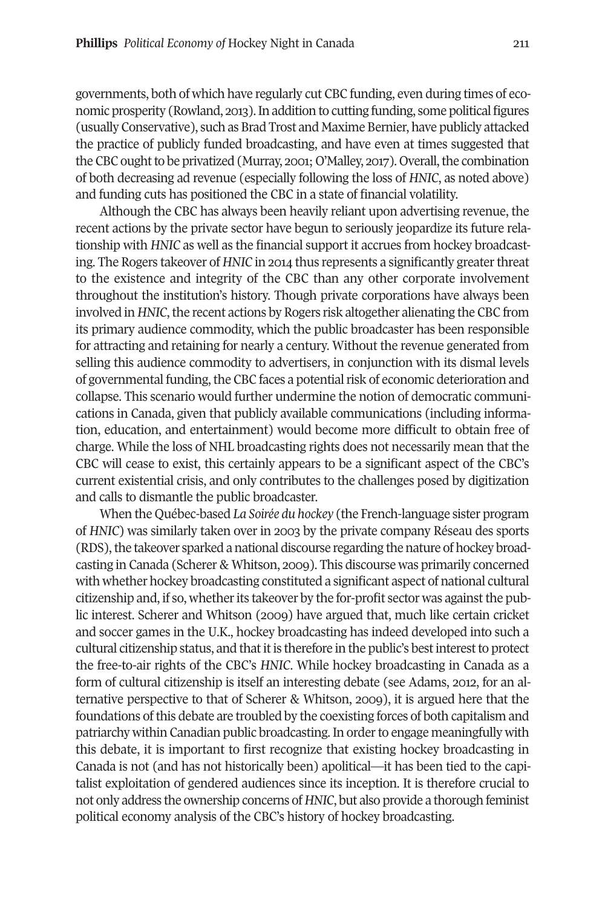governments, both of which have regularly cut CBC funding, even during times of economic prosperity (Rowland, 2013). In addition to cutting funding, some political figures (usually Conservative), such as Brad Trost and Maxime Bernier, have publicly attacked the practice of publicly funded broadcasting, and have even at times suggested that the CBC ought to be privatized (Murray, 2001; O'Malley, 2017). Overall, the combination of both decreasing ad revenue (especially following the loss of *HNIC*, as noted above) and funding cuts has positioned the CBC in a state of financial volatility.

Although the CBC has always been heavily reliant upon advertising revenue, the recent actions by the private sector have begun to seriously jeopardize its future relationship with *HNIC* as well as the financial support it accrues from hockey broadcasting. The Rogers takeover of *HNIC* in 2014 thus represents a significantly greater threat to the existence and integrity of the CBC than any other corporate involvement throughout the institution's history. Though private corporations have always been involved in *HNIC*, the recent actions by Rogers risk altogether alienating the CBC from its primary audience commodity, which the public broadcaster has been responsible for attracting and retaining for nearly a century. Without the revenue generated from selling this audience commodity to advertisers, in conjunction with its dismal levels of governmental funding, the CBC faces a potential risk of economic deterioration and collapse. This scenario would further undermine the notion of democratic communications in Canada, given that publicly available communications (including information, education, and entertainment) would become more difficult to obtain free of charge. While the loss of NHL broadcasting rights does not necessarily mean that the CBC will cease to exist, this certainly appears to be a significant aspect of the CBC's current existential crisis, and only contributes to the challenges posed by digitization and calls to dismantle the public broadcaster.

When the Québec-based *La Soirée du hockey* (the French-language sister program of *HNIC*) was similarly taken over in 2003 by the private company Réseau des sports (RDS), the takeover sparked a national discourse regarding the nature of hockey broadcasting in Canada (Scherer & Whitson, 2009). This discourse was primarily concerned with whether hockey broadcasting constituted a significant aspect of national cultural citizenship and, if so, whetherits takeover by the for-profit sector was againstthe public interest. Scherer and Whitson (2009) have argued that, much like certain cricket and soccer games in the U.K., hockey broadcasting has indeed developed into such a cultural citizenship status, and that it is therefore in the public's best interest to protect the free-to-air rights of the CBC's *HNIC*. While hockey broadcasting in Canada as a form of cultural citizenship is itself an interesting debate (see Adams, 2012, for an alternative perspective to that of Scherer & Whitson, 2009), it is argued here that the foundations ofthis debate are troubled by the coexisting forces of both capitalism and patriarchy within Canadian public broadcasting. In order to engage meaningfully with this debate, it is important to first recognize that existing hockey broadcasting in Canada is not (and has not historically been) apolitical—it has been tied to the capitalist exploitation of gendered audiences since its inception. It is therefore crucial to not only address the ownership concerns of *HNIC*, but also provide a thorough feminist political economy analysis of the CBC's history of hockey broadcasting.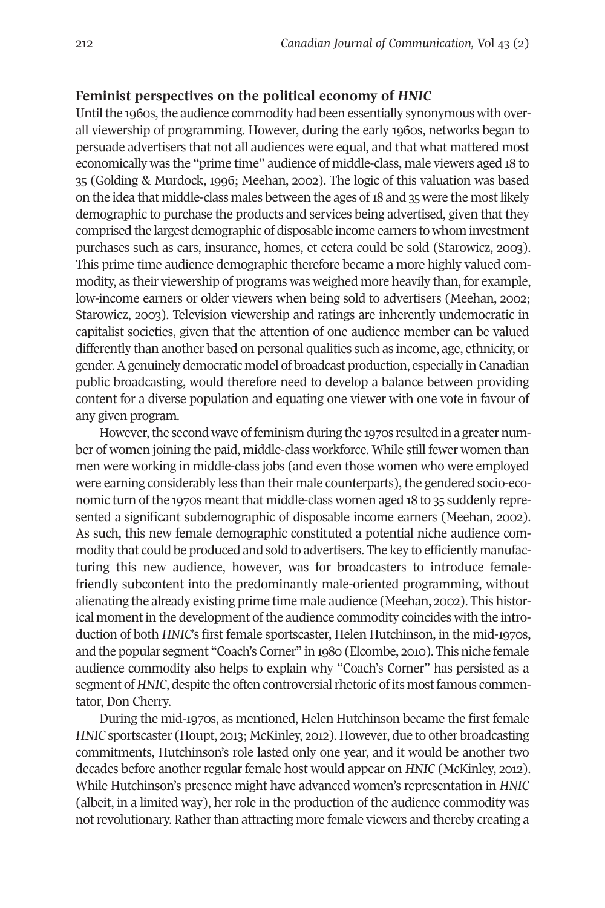#### **Feminist perspectives on the political economy of** *HNIC*

Until the 1960s, the audience commodity had been essentially synonymous with overall viewership of programming. However, during the early 1960s, networks began to persuade advertisers that not all audiences were equal, and that what mattered most economically was the "prime time" audience of middle-class, male viewers aged 18 to 35 (Golding & Murdock, 1996; Meehan, 2002). The logic of this valuation was based on the idea that middle-class males between the ages of 18 and 35 were the most likely demographic to purchase the products and services being advertised, given that they comprised the largest demographic of disposable income earners to whom investment purchases such as cars, insurance, homes, et cetera could be sold (Starowicz, 2003). This prime time audience demographic therefore became a more highly valued commodity, as their viewership of programs was weighed more heavily than, for example, low-income earners or older viewers when being sold to advertisers (Meehan, 2002; Starowicz, 2003). Television viewership and ratings are inherently undemocratic in capitalist societies, given that the attention of one audience member can be valued differently than another based on personal qualities such as income, age, ethnicity, or gender.Agenuinely democratic model of broadcast production, especially in Canadian public broadcasting, would therefore need to develop a balance between providing content for a diverse population and equating one viewer with one vote in favour of any given program.

However, the second wave of feminism during the 1970s resulted in a greater number of women joining the paid, middle-class workforce. While still fewer women than men were working in middle-class jobs (and even those women who were employed were earning considerably less than their male counterparts), the gendered socio-economic turn of the 1970s meant that middle-class women aged 18 to 35 suddenly represented a significant subdemographic of disposable income earners (Meehan, 2002). As such, this new female demographic constituted a potential niche audience commodity that could be produced and sold to advertisers. The key to efficiently manufacturing this new audience, however, was for broadcasters to introduce femalefriendly subcontent into the predominantly male-oriented programming, without alienating the already existing prime time male audience (Meehan, 2002). This historical moment in the development of the audience commodity coincides with the introduction of both *HNIC*'s first female sportscaster, Helen Hutchinson, in the mid-1970s, and the popular segment "Coach's Corner" in 1980 (Elcombe, 2010). This niche female audience commodity also helps to explain why "Coach's Corner" has persisted as a segment of *HNIC*, despite the often controversial rhetoric of its most famous commentator, Don Cherry.

During the mid-1970s, as mentioned, Helen Hutchinson became the first female *HNIC* sportscaster (Houpt, 2013; McKinley, 2012). However, due to other broadcasting commitments, Hutchinson's role lasted only one year, and it would be another two decades before another regular female host would appear on *HNIC* (McKinley, 2012). While Hutchinson's presence might have advanced women's representation in *HNIC* (albeit, in a limited way), her role in the production of the audience commodity was not revolutionary. Rather than attracting more female viewers and thereby creating a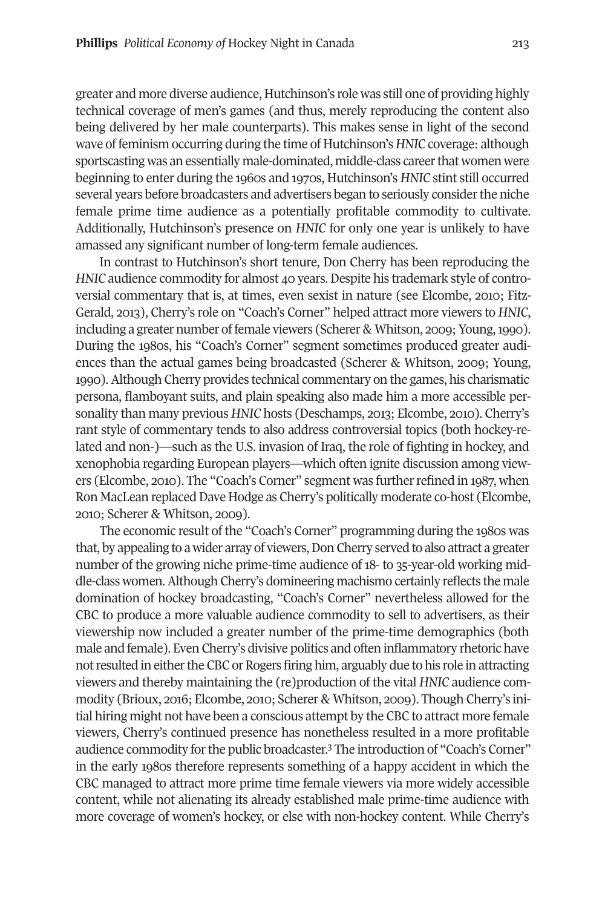greater and more diverse audience, Hutchinson's role was still one of providing highly technical coverage of men's games (and thus, merely reproducing the content also being delivered by her male counterparts). This makes sense in light of the second wave of feminism occurring during the time of Hutchinson's *HNIC* coverage: although sports casting was an essentially male-dominated, middle-class career that women were beginning to enter during the 1960s and 1970s, Hutchinson's *HNIC* stint still occurred several years before broadcasters and advertisers began to seriously considerthe niche female prime time audience as a potentially profitable commodity to cultivate. Additionally, Hutchinson's presence on *HNIC* for only one year is unlikely to have amassed any significant number of long-term female audiences.

In contrast to Hutchinson's short tenure, Don Cherry has been reproducing the *HNIC* audience commodity for almost 40 years. Despite his trademark style of controversial commentary that is, at times, even sexist in nature (see Elcombe, 2010; Fitz-Gerald, 2013), Cherry's role on "Coach's Corner" helped attract more viewers to *HNIC*, including a greater number of female viewers (Scherer & Whitson, 2009; Young, 1990). During the 1980s, his "Coach's Corner" segment sometimes produced greater audiences than the actual games being broadcasted (Scherer & Whitson, 2009; Young, 1990).Although Cherry provides technical commentary on the games, his charismatic persona, flamboyant suits, and plain speaking also made him a more accessible personality than many previous *HNIC* hosts (Deschamps, 2013; Elcombe, 2010). Cherry's rant style of commentary tends to also address controversial topics (both hockey-related and non-)—such as the U.S. invasion of Iraq, the role of fighting in hockey, and xenophobia regarding European players—which often ignite discussion among viewers (Elcombe, 2010). The "Coach's Corner" segment was further refined in 1987, when Ron MacLean replaced Dave Hodge as Cherry's politically moderate co-host (Elcombe, 2010; Scherer & Whitson, 2009).

The economic result of the "Coach's Corner" programming during the 1980s was that, by appealing to a wider array of viewers, Don Cherry served to also attract a greater number of the growing niche prime-time audience of 18- to 35-year-old working middle-class women.Although Cherry's domineering machismo certainly reflects the male domination of hockey broadcasting, "Coach's Corner" nevertheless allowed for the CBC to produce a more valuable audience commodity to sell to advertisers, as their viewership now included a greater number of the prime-time demographics (both male and female). Even Cherry's divisive politics and often inflammatory rhetoric have not resulted in either the CBC or Rogers firing him, arguably due to his role in attracting viewers and thereby maintaining the (re)production of the vital *HNIC* audience commodity (Brioux, 2016; Elcombe, 2010; Scherer & Whitson, 2009). Though Cherry's initial hiring might not have been a conscious attempt by the CBC to attract more female viewers, Cherry's continued presence has non[et](#page-15-2)heless resulted in a more profitable audience commodity for the public broadcaster.<sup>3</sup> The introduction of "Coach's Corner" in the early 1980s therefore represents something of a happy accident in which the CBC managed to attract more prime time female viewers via more widely accessible content, while not alienating its already established male prime-time audience with more coverage of women's hockey, or else with non-hockey content. While Cherry's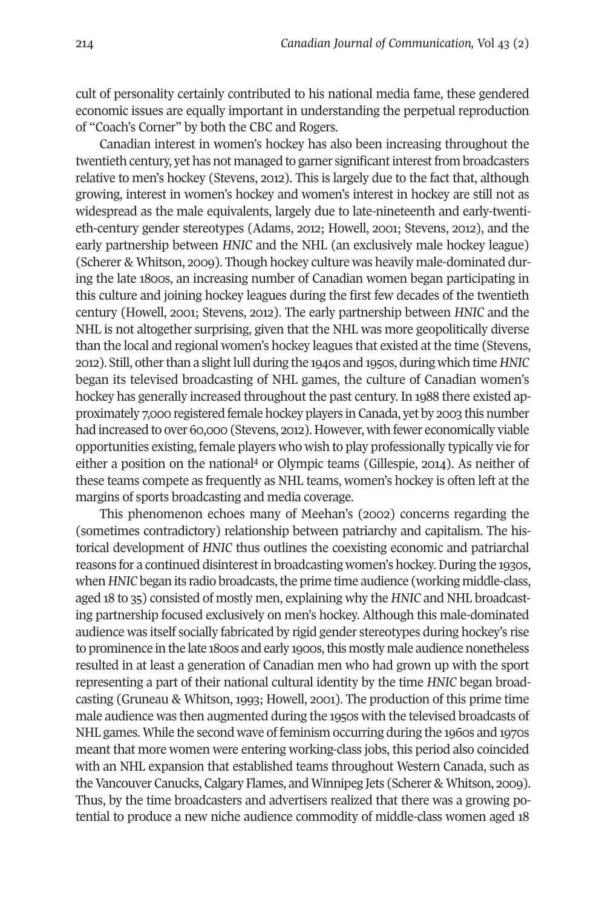cult of personality certainly contributed to his national media fame, these gendered economic issues are equally important in understanding the perpetual reproduction of "Coach's Corner" by both the CBC and Rogers.

Canadian interest in women's hockey has also been increasing throughout the twentieth century, yet has not managed to garner significant interest from broadcasters relative to men's hockey (Stevens, 2012). This is largely due to the fact that, although growing, interest in women's hockey and women's interest in hockey are still not as widespread as the male equivalents, largely due to late-nineteenth and early-twentieth-century gender stereotypes (Adams, 2012; Howell, 2001; Stevens, 2012), and the early partnership between *HNIC* and the NHL (an exclusively male hockey league) (Scherer & Whitson, 2009). Though hockey culture was heavily male-dominated during the late 1800s, an increasing number of Canadian women began participating in this culture and joining hockey leagues during the first few decades of the twentieth century (Howell, 2001; Stevens, 2012). The early partnership between *HNIC* and the NHL is not altogether surprising, given that the NHL was more geopolitically diverse than the local and regional women's hockey leagues that existed at the time (Stevens, 2012). Still, otherthan a slightlull during the 1940s and 1950s, during which time *HNIC* began its televised broadcasting of NHL games, the culture of Canadian women's hockey has generally increased throughout the past century. In 1988 there existed approximately 7,000 registered female hockey players in Canada, yet by 2003 this number had increased to over 60,000 (Stevens, 2012). However, with fewer economically viable opportunities existing, female pl[aye](#page-15-3)rs who wish to play professionally typically vie for either a position on the national<sup>4</sup> or Olympic teams (Gillespie, 2014). As neither of these teams compete as frequently as NHL teams, women's hockey is often left at the margins of sports broadcasting and media coverage.

This phenomenon echoes many of Meehan's (2002) concerns regarding the (sometimes contradictory) relationship between patriarchy and capitalism. The historical development of *HNIC* thus outlines the coexisting economic and patriarchal reasons for a continued disinterest in broadcasting women's hockey. During the 1930s, when *HNIC* began its radio broadcasts, the prime time audience (working middle-class, aged 18 to 35) consisted of mostly men, explaining why the *HNIC* and NHL broadcasting partnership focused exclusively on men's hockey. Although this male-dominated audience was itself socially fabricated by rigid gender stereotypes during hockey's rise to prominence in the late 1800s and early 1900s, this mostly male audience nonetheless resulted in at least a generation of Canadian men who had grown up with the sport representing a part of their national cultural identity by the time *HNIC* began broadcasting (Gruneau & Whitson, 1993; Howell, 2001). The production of this prime time male audience was then augmented during the 1950s with the televised broadcasts of NHL games. While the second wave of feminism occurring during the 1960s and 1970s meant that more women were entering working-class jobs, this period also coincided with an NHL expansion that established teams throughout Western Canada, such as the Vancouver Canucks, Calgary Flames, and Winnipeg Jets (Scherer & Whitson, 2009). Thus, by the time broadcasters and advertisers realized that there was a growing potential to produce a new niche audience commodity of middle-class women aged 18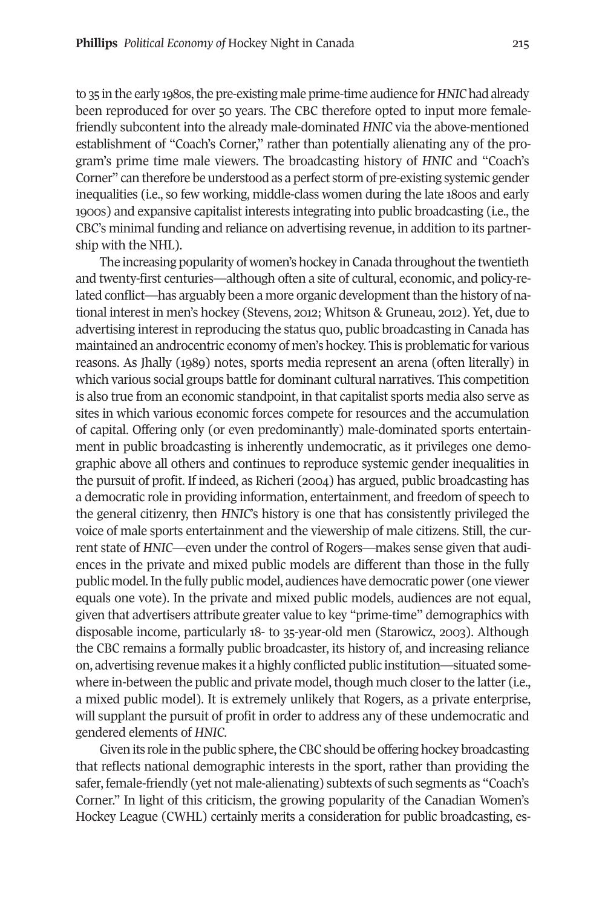to 35 in the early 1980s, the pre-existing male prime-time audience for *HNIC* had already been reproduced for over 50 years. The CBC therefore opted to input more femalefriendly subcontent into the already male-dominated *HNIC* via the above-mentioned establishment of "Coach's Corner," rather than potentially alienating any of the program's prime time male viewers. The broadcasting history of *HNIC* and "Coach's Corner" can therefore be understood as a perfect storm of pre-existing systemic gender inequalities (i.e., so few working, middle-class women during the late 1800s and early 1900s) and expansive capitalist interests integrating into public broadcasting (i.e., the CBC's minimal funding and reliance on advertising revenue, in addition to its partnership with the NHL).

The increasing popularity of women's hockey in Canada throughout the twentieth and twenty-first centuries—although often a site of cultural, economic, and policy-related conflict—has arguably been a more organic development than the history of national interest in men's hockey (Stevens, 2012; Whitson & Gruneau, 2012). Yet, due to advertising interest in reproducing the status quo, public broadcasting in Canada has maintained an androcentric economy of men's hockey. This is problematic for various reasons. As Jhally (1989) notes, sports media represent an arena (often literally) in which various social groups battle for dominant cultural narratives. This competition is also true from an economic standpoint, in that capitalist sports media also serve as sites in which various economic forces compete for resources and the accumulation of capital. Offering only (or even predominantly) male-dominated sports entertainment in public broadcasting is inherently undemocratic, as it privileges one demographic above all others and continues to reproduce systemic gender inequalities in the pursuit of profit. If indeed, as Richeri (2004) has argued, public broadcasting has a democratic role in providing information, entertainment, and freedom of speech to the general citizenry, then *HNIC*'s history is one that has consistently privileged the voice of male sports entertainment and the viewership of male citizens. Still, the current state of *HNIC*—even under the control of Rogers—makes sense given that audiences in the private and mixed public models are different than those in the fully public model.In the fully public model, audiences have democratic power (one viewer equals one vote). In the private and mixed public models, audiences are not equal, given that advertisers attribute greater value to key "prime-time" demographics with disposable income, particularly 18- to 35-year-old men (Starowicz, 2003). Although the CBC remains a formally public broadcaster, its history of, and increasing reliance on, advertising revenue makes it a highly conflicted public institution—situated somewhere in-between the public and private model, though much closerto the latter (i.e., a mixed public model). It is extremely unlikely that Rogers, as a private enterprise, will supplant the pursuit of profit in order to address any of these undemocratic and gendered elements of *HNIC*.

Given its role in the public sphere, the CBC should be offering hockey broadcasting that reflects national demographic interests in the sport, rather than providing the safer, female-friendly (yet not male-alienating) subtexts of such segments as "Coach's Corner." In light of this criticism, the growing popularity of the Canadian Women's Hockey League (CWHL) certainly merits a consideration for public broadcasting, es-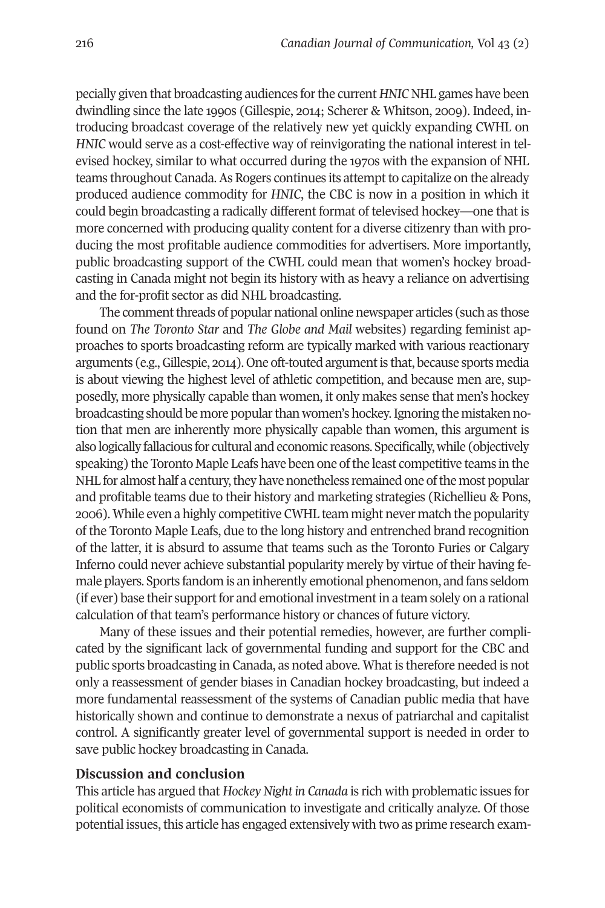pecially given that broadcasting audiences forthe current *HNIC* NHL games have been dwindling since the late 1990s (Gillespie, 2014; Scherer & Whitson, 2009). Indeed, introducing broadcast coverage of the relatively new yet quickly expanding CWHL on *HNIC* would serve as a cost-effective way of reinvigorating the national interest in televised hockey, similar to what occurred during the 1970s with the expansion of NHL teams throughout Canada. As Rogers continues its attempt to capitalize on the already produced audience commodity for *HNIC*, the CBC is now in a position in which it could begin broadcasting a radically different format of televised hockey—one that is more concerned with producing quality content for a diverse citizenry than with producing the most profitable audience commodities for advertisers. More importantly, public broadcasting support of the CWHL could mean that women's hockey broadcasting in Canada might not begin its history with as heavy a reliance on advertising and the for-profit sector as did NHL broadcasting.

The comment threads of popular national online newspaper articles (such as those found on *The Toronto Star* and *The Globe and Mail* websites) regarding feminist approaches to sports broadcasting reform are typically marked with various reactionary arguments (e.g.,Gillespie, 2014). One oft-touted argumentis that, because sports media is about viewing the highest level of athletic competition, and because men are, supposedly, more physically capable than women, it only makes sense that men's hockey broadcasting should be more popularthan women's hockey.Ignoring the mistaken notion that men are inherently more physically capable than women, this argument is also logically fallacious for cultural and economic reasons. Specifically, while (objectively speaking) the Toronto Maple Leafs have been one ofthe least competitive teams in the NHL for almost half a century, they have nonetheless remained one of the most popular and profitable teams due to their history and marketing strategies (Richellieu & Pons, 2006).While even a highly competitive CWHL team might never match the popularity of the Toronto Maple Leafs, due to the long history and entrenched brand recognition of the latter, it is absurd to assume that teams such as the Toronto Furies or Calgary Inferno could never achieve substantial popularity merely by virtue of their having female players. Sports fandom is an inherently emotional phenomenon, and fans seldom (if ever) base their support for and emotional investment in a team solely on a rational calculation of that team's performance history or chances of future victory.

Many of these issues and their potential remedies, however, are further complicated by the significant lack of governmental funding and support for the CBC and public sports broadcasting in Canada, as noted above. What is therefore needed is not only a reassessment of gender biases in Canadian hockey broadcasting, but indeed a more fundamental reassessment of the systems of Canadian public media that have historically shown and continue to demonstrate a nexus of patriarchal and capitalist control. A significantly greater level of governmental support is needed in order to save public hockey broadcasting in Canada.

#### **Discussion and conclusion**

This article has argued that *HockeyNight in Canada* is rich with problematic issues for political economists of communication to investigate and critically analyze. Of those potential issues, this article has engaged extensively with two as prime research exam-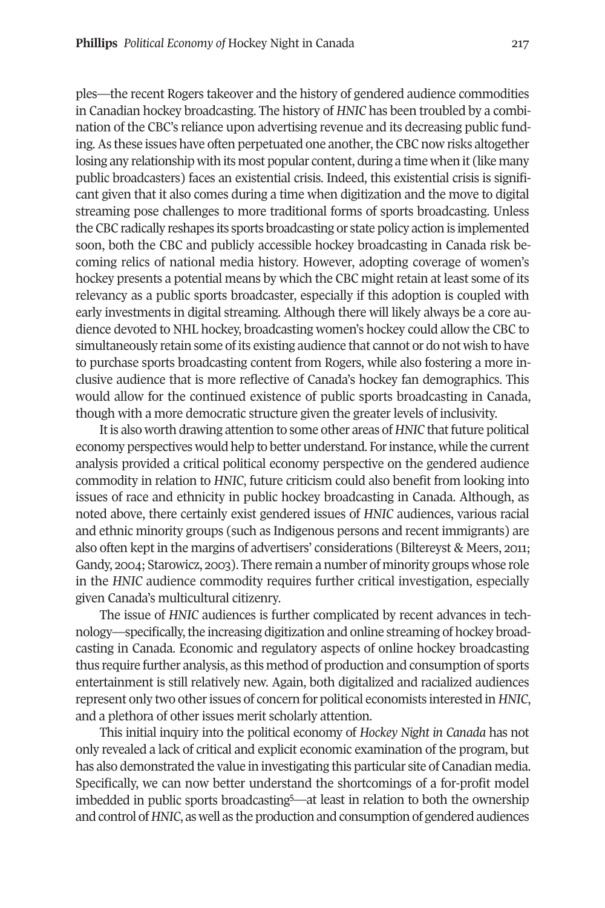ples—the recent Rogers takeover and the history of gendered audience commodities in Canadian hockey broadcasting. The history of *HNIC* has been troubled by a combination of the CBC's reliance upon advertising revenue and its decreasing public funding. As these issues have often perpetuated one another, the CBC now risks altogether losing any relationship with its most popular content, during a time when it (like many public broadcasters) faces an existential crisis. Indeed, this existential crisis is significant given that it also comes during a time when digitization and the move to digital streaming pose challenges to more traditional forms of sports broadcasting. Unless the CBC radically reshapes its sports broadcasting or state policy action is implemented soon, both the CBC and publicly accessible hockey broadcasting in Canada risk becoming relics of national media history. However, adopting coverage of women's hockey presents a potential means by which the CBC might retain at least some of its relevancy as a public sports broadcaster, especially if this adoption is coupled with early investments in digital streaming. Although there will likely always be a core audience devoted to NHL hockey, broadcasting women's hockey could allow the CBC to simultaneously retain some of its existing audience that cannot or do not wish to have to purchase sports broadcasting content from Rogers, while also fostering a more inclusive audience that is more reflective of Canada's hockey fan demographics. This would allow for the continued existence of public sports broadcasting in Canada, though with a more democratic structure given the greater levels of inclusivity.

It is also worth drawing attention to some other areas of *HNIC* that future political economy perspectives would help to better understand. Forinstance, while the current analysis provided a critical political economy perspective on the gendered audience commodity in relation to *HNIC*, future criticism could also benefit from looking into issues of race and ethnicity in public hockey broadcasting in Canada. Although, as noted above, there certainly exist gendered issues of *HNIC* audiences, various racial and ethnic minority groups (such as Indigenous persons and recent immigrants) are also often kept in the margins of advertisers' considerations (Biltereyst & Meers, 2011; Gandy, 2004; Starowicz, 2003). There remain a number of minority groups whose role in the *HNIC* audience commodity requires further critical investigation, especially given Canada's multicultural citizenry.

The issue of *HNIC* audiences is further complicated by recent advances in technology—specifically, the increasing digitization and online streaming of hockey broadcasting in Canada. Economic and regulatory aspects of online hockey broadcasting thus require further analysis, as this method of production and consumption of sports entertainment is still relatively new. Again, both digitalized and racialized audiences represent only two otherissues of concern for political economists interested in *HNIC*, and a plethora of other issues merit scholarly attention.

This initial inquiry into the political economy of *Hockey Night in Canada* has not only revealed a lack of critical and explicit economic examination of the program, but has also demonstrated the value in investigating this particular site of Canadian media. Specifically, we can now better unders[ta](#page-15-4)nd the shortcomings of a for-profit model imbedded in public sports broadcasting5 —at least in relation to both the ownership and control of *HNIC*, as well as the production and consumption of gendered audiences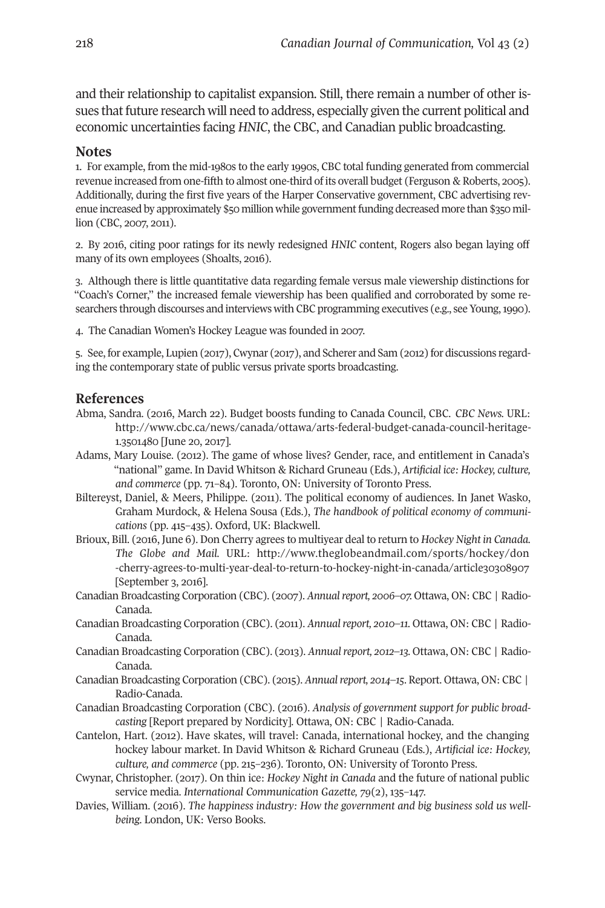and their relationship to capitalist expansion. Still, there remain a number of other issues that future research will need to address, especially given the current political and economic uncertainties facing *HNIC*, the CBC, and Canadian public broadcasting.

#### **Notes**

<span id="page-15-0"></span>1. For example, from the mid-1980s to the early 1990s, CBC total funding generated from commercial revenue increased from one-fifth to almost one-third of its overall budget (Ferguson & Roberts, 2005). Additionally, during the first five years of the Harper Conservative government, CBC advertising revenue increased by approximately \$50 million while government funding decreased more than \$350 million (CBC, 2007, 2011).

<span id="page-15-1"></span>2. By 2016, citing poor ratings for its newly redesigned *HNIC* content, Rogers also began laying off many of its own employees (Shoalts, 2016).

<span id="page-15-2"></span>3. Although there is little quantitative data regarding female versus male viewership distinctions for "Coach's Corner," the increased female viewership has been qualified and corroborated by some researchers through discourses and interviews with CBC programming executives (e.g., see Young, 1990).

<span id="page-15-3"></span>4. The Canadian Women's Hockey League was founded in 2007.

<span id="page-15-4"></span>5. See, for example, Lupien (2017), Cwynar (2017), and Scherer and Sam (2012) for discussions regarding the contemporary state of public versus private sports broadcasting.

#### **References**

- Abma, Sandra. (2016, March 22). Budget boosts funding to Canada Council, CBC. *CBC News.* URL: http:/[/www.cbc.ca/news/canada/ottawa/arts-federal-budget-canada-council-heritage-](http://www.cbc.ca/news/canada/ottawa/arts-federal-budget-canada-council-heritage-1.3501480)[1.3501480](http://www.cbc.ca/news/canada/ottawa/arts-federal-budget-canada-council-heritage-1.3501480) [June 20, 2017].
- Adams, Mary Louise. (2012). The game of whose lives? Gender, race, and entitlement in Canada's "national" game. In David Whitson & Richard Gruneau (Eds.), *Artificial ice: Hockey, culture, and commerce* (pp. 71–84). Toronto, ON: University of Toronto Press.
- Biltereyst, Daniel, & Meers, Philippe. (2011). The political economy of audiences. In Janet Wasko, Graham Murdock, & Helena Sousa (Eds.), *The handbook of political economy of communications* (pp. 415–435). Oxford, UK: Blackwell.
- Brioux, Bill. (2016, June 6). Don Cherry agrees to multiyear deal to return to *Hockey Night in Canada. The Globe and Mail.* URL: http:/[/www.theglobeandmail.com/sports/hockey/don](www.theglobeandmail.com/sports/hockey/don-cherry-agrees-to-multi-year-deal-to-return-to-hockey-night-in-canada/article30308907 ) [-cherry-agrees-to-multi-year-deal-to-return-to-hockey-night-in-canada/article30308907](www.theglobeandmail.com/sports/hockey/don-cherry-agrees-to-multi-year-deal-to-return-to-hockey-night-in-canada/article30308907 ) [September 3, 2016].
- Canadian Broadcasting Corporation (CBC). (2007). *Annualreport, 2006–07.* Ottawa, ON: CBC | Radio-Canada.
- Canadian Broadcasting Corporation (CBC). (2011). *Annualreport, 2010–11.* Ottawa, ON: CBC | Radio-Canada.
- Canadian Broadcasting Corporation (CBC). (2013). *Annualreport, 2012–13.* Ottawa, ON: CBC | Radio-Canada.
- Canadian Broadcasting Corporation (CBC). (2015). *Annualreport, 2014–15*. Report. Ottawa, ON: CBC | Radio-Canada.
- Canadian Broadcasting Corporation (CBC). (2016). *Analysis of government support for public broadcasting* [Report prepared by Nordicity]. Ottawa, ON: CBC | Radio-Canada.
- Cantelon, Hart. (2012). Have skates, will travel: Canada, international hockey, and the changing hockey labour market. In David Whitson & Richard Gruneau (Eds.), *Artificial ice: Hockey, culture, and commerce* (pp. 215–236). Toronto, ON: University of Toronto Press.
- Cwynar, Christopher. (2017). On thin ice: *Hockey Night in Canada* and the future of national public service media. *International Communication Gazette, 79*(2), 135–147.
- Davies, William. (2016). *The happiness industry: How the government and big business sold us wellbeing.* London, UK: Verso Books.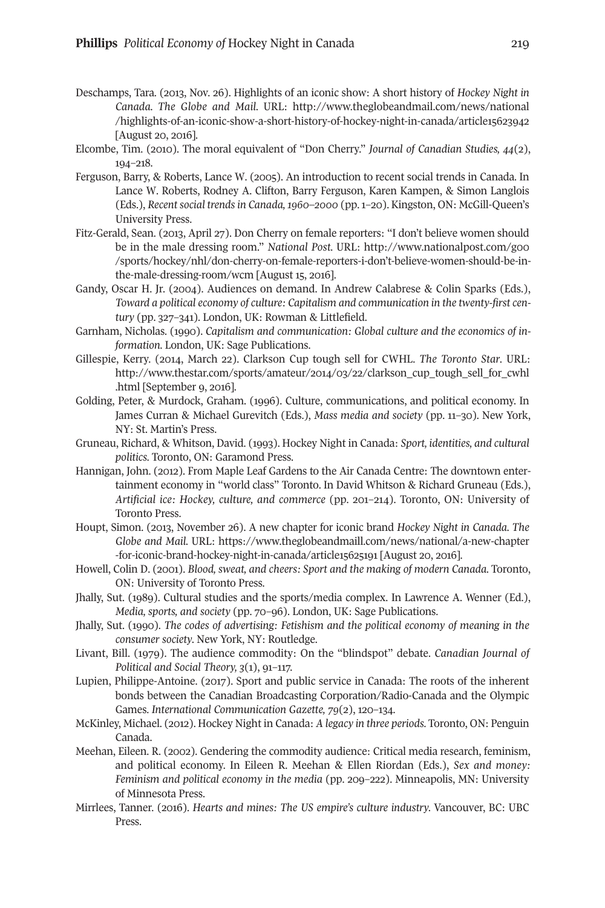- Deschamps, Tara. (2013, Nov. 26). Highlights of an iconic show: A short history of *Hockey Night in Canada. The Globe and Mail.* URL: [http://www.theglobeandmail.com/news/national](http://www.theglobeandmail.com/news/national/highlights-of-an-iconic-show-a-short-history-of-hockey-night-in-canada/article15623942) [/highlights-of-an-iconic-show-a-short-history-of-hockey-night-in-canada/article15623942](http://www.theglobeandmail.com/news/national/highlights-of-an-iconic-show-a-short-history-of-hockey-night-in-canada/article15623942) [August 20, 2016].
- Elcombe, Tim. (2010). The moral equivalent of "Don Cherry." *Journal of Canadian Studies, 44*(2), 194–218.
- Ferguson, Barry, & Roberts, Lance W. (2005). An introduction to recent social trends in Canada. In Lance W. Roberts, Rodney A. Clifton, Barry Ferguson, Karen Kampen, & Simon Langlois (Eds.), *Recentsocial trendsin Canada, 1960–2000* (pp.1–20). Kingston, ON: McGill-Queen's University Press.
- Fitz-Gerald, Sean. (2013, April 27). Don Cherry on female reporters: "I don't believe women should be in the male dressing room." *National Post.* URL: [http://www.nationalpost.com/g00](http://www.nationalpost.com/g00/sports/hockey/nhl/don-cherry-on-female-reporters-i-don�t-believe-women-should-be-in-the-male-dressing-room/wcm) [/sports/hockey/nhl/don-cherry-on-female-reporters-i-don't-believe-women-should-be-in](http://www.nationalpost.com/g00/sports/hockey/nhl/don-cherry-on-female-reporters-i-don�t-believe-women-should-be-in-the-male-dressing-room/wcm)[the-male-dressing-room/wcm](http://www.nationalpost.com/g00/sports/hockey/nhl/don-cherry-on-female-reporters-i-don�t-believe-women-should-be-in-the-male-dressing-room/wcm) [August 15, 2016].
- Gandy, Oscar H. Jr. (2004). Audiences on demand. In Andrew Calabrese & Colin Sparks (Eds.), *Toward a political economy of culture: Capitalism and communication in the twenty-first century* (pp. 327–341). London, UK: Rowman & Littlefield.
- Garnham, Nicholas. (1990). *Capitalism and communication: Global culture and the economics of information.* London, UK: Sage Publications.
- Gillespie, Kerry. (2014, March 22). Clarkson Cup tough sell for CWHL. *The Toronto Star.* URL: [http://www.thestar.com/sports/amateur/2014/03/22/clarkson\\_cup\\_tough\\_sell\\_for\\_cwhl](http://www.thestar.com/sports/amateur/2014/03/22/clarkson_cup_tough_sell_for_cwhl.html) [.html](http://www.thestar.com/sports/amateur/2014/03/22/clarkson_cup_tough_sell_for_cwhl.html) [September 9, 2016].
- Golding, Peter, & Murdock, Graham. (1996). Culture, communications, and political economy. In James Curran & Michael Gurevitch (Eds.), *Mass media and society* (pp. 11–30). New York, NY: St. Martin's Press.
- Gruneau, Richard, & Whitson, David. (1993). Hockey Night in Canada: *Sport, identities, and cultural politics.* Toronto, ON: Garamond Press.
- Hannigan, John. (2012). From Maple Leaf Gardens to the Air Canada Centre: The downtown entertainment economy in "world class" Toronto. In David Whitson & Richard Gruneau (Eds.), *Artificial ice: Hockey, culture, and commerce* (pp. 201–214). Toronto, ON: University of Toronto Press.
- Houpt, Simon. (2013, November 26). A new chapter for iconic brand *Hockey Night in Canada. The Globe and Mail.* URL: [https://www.theglobeandmaill.com/news/national/a-new-chapter](https://www.theglobeandmaill.com/news/national/a-new-chapter-for-iconic-brand-hockey-night-in-canada/article15625191) [-for-iconic-brand-hockey-night-in-canada/article15625191](https://www.theglobeandmaill.com/news/national/a-new-chapter-for-iconic-brand-hockey-night-in-canada/article15625191) [August 20, 2016].
- Howell, Colin D. (2001). *Blood, sweat, and cheers: Sport and the making of modern Canada.* Toronto, ON: University of Toronto Press.
- Jhally, Sut. (1989). Cultural studies and the sports/media complex. In Lawrence A. Wenner (Ed.), *Media, sports, and society* (pp. 70–96). London, UK: Sage Publications.
- Jhally, Sut. (1990). *The codes of advertising: Fetishism and the political economy of meaning in the consumer society.* New York, NY: Routledge.
- Livant, Bill. (1979). The audience commodity: On the "blindspot" debate. *Canadian Journal of Political and Social Theory, 3*(1), 91–117.
- Lupien, Philippe-Antoine. (2017). Sport and public service in Canada: The roots of the inherent bonds between the Canadian Broadcasting Corporation/Radio-Canada and the Olympic Games. *International Communication Gazette, 79*(2), 120–134.
- McKinley, Michael. (2012). Hockey Night in Canada: *A legacy in three periods.* Toronto, ON: Penguin Canada.
- Meehan, Eileen. R. (2002). Gendering the commodity audience: Critical media research, feminism, and political economy. In Eileen R. Meehan & Ellen Riordan (Eds.), *Sex and money: Feminism and political economy in the media* (pp. 209–222). Minneapolis, MN: University of Minnesota Press.
- Mirrlees, Tanner. (2016). *Hearts and mines: The US empire's culture industry.* Vancouver, BC: UBC Press.